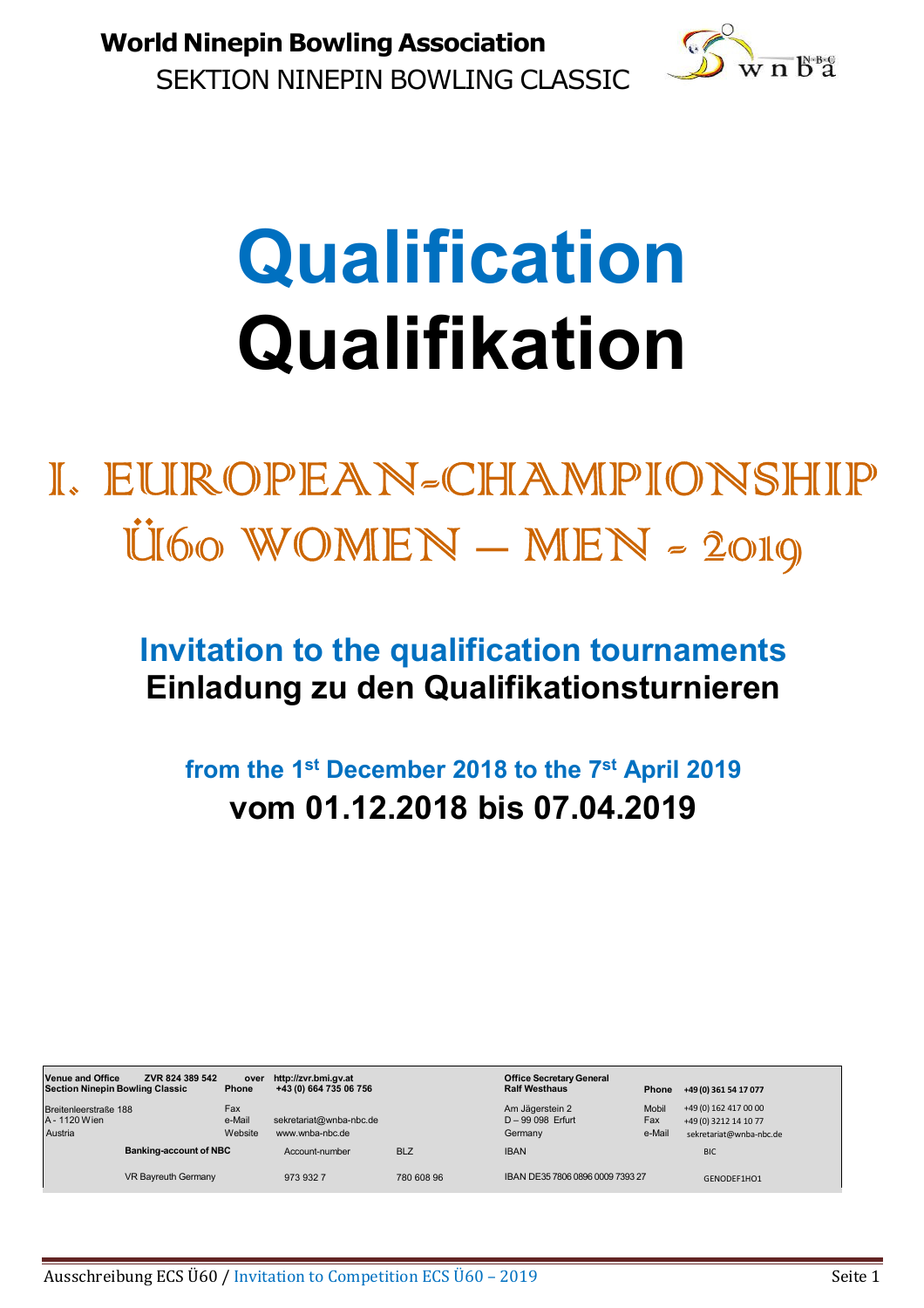**World Ninepin Bowling Association** SEKTION NINEPIN BOWLING CLASSIC



## **Qualification Qualifikation** Ĩ

## I. EUROPEAN-CHAMPIONSHIP  $U$ 60 WOMEN – MEN - 2019

## **Invitation to the qualification tournaments Einladung zu den Qualifikationsturnieren**

**from the 1st December 2018 to the 7st April 2019 vom 01.12.2018 bis 07.04.2019** 

| <b>Venue and Office</b><br><b>Section Ninepin Bowling Classic</b> | ZVR 824 389 542               | over<br>Phone            | http://zvr.bmi.gv.at<br>+43 (0) 664 735 06 756 |            | <b>Office Secretary General</b><br><b>Ralf Westhaus</b> | Phone                  | +49 (0) 361 54 17 077                                                     |
|-------------------------------------------------------------------|-------------------------------|--------------------------|------------------------------------------------|------------|---------------------------------------------------------|------------------------|---------------------------------------------------------------------------|
| Breitenleerstraße 188<br>A - 1120 Wien<br>Austria                 |                               | Fax<br>e-Mail<br>Website | sekretariat@wnba-nbc.de<br>www.wnba-nbc.de     |            | Am Jägerstein 2<br>D-99 098 Erfurt<br>Germany           | Mobil<br>Fax<br>e-Mail | +49 (0) 162 417 00 00<br>+49 (0) 3212 14 10 77<br>sekretariat@wnba-nbc.de |
|                                                                   | <b>Banking-account of NBC</b> |                          | Account-number                                 | BLZ        | <b>IBAN</b>                                             |                        | <b>BIC</b>                                                                |
|                                                                   | <b>VR Bayreuth Germany</b>    |                          | 973 932 7                                      | 780 608 96 | IBAN DE35 7806 0896 0009 7393 27                        |                        | GENODEF1HO1                                                               |